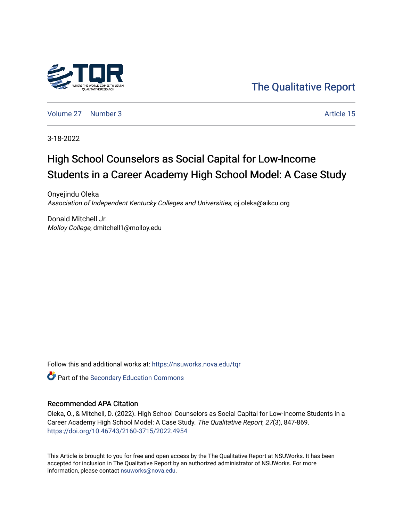

[The Qualitative Report](https://nsuworks.nova.edu/tqr) 

[Volume 27](https://nsuworks.nova.edu/tqr/vol27) | [Number 3](https://nsuworks.nova.edu/tqr/vol27/iss3) Article 15

3-18-2022

# High School Counselors as Social Capital for Low-Income Students in a Career Academy High School Model: A Case Study

Onyejindu Oleka Association of Independent Kentucky Colleges and Universities, oj.oleka@aikcu.org

Donald Mitchell Jr. Molloy College, dmitchell1@molloy.edu

Follow this and additional works at: [https://nsuworks.nova.edu/tqr](https://nsuworks.nova.edu/tqr?utm_source=nsuworks.nova.edu%2Ftqr%2Fvol27%2Fiss3%2F15&utm_medium=PDF&utm_campaign=PDFCoverPages) 

Part of the [Secondary Education Commons](http://network.bepress.com/hgg/discipline/1382?utm_source=nsuworks.nova.edu%2Ftqr%2Fvol27%2Fiss3%2F15&utm_medium=PDF&utm_campaign=PDFCoverPages) 

#### Recommended APA Citation

Oleka, O., & Mitchell, D. (2022). High School Counselors as Social Capital for Low-Income Students in a Career Academy High School Model: A Case Study. The Qualitative Report, 27(3), 847-869. <https://doi.org/10.46743/2160-3715/2022.4954>

This Article is brought to you for free and open access by the The Qualitative Report at NSUWorks. It has been accepted for inclusion in The Qualitative Report by an authorized administrator of NSUWorks. For more information, please contact [nsuworks@nova.edu.](mailto:nsuworks@nova.edu)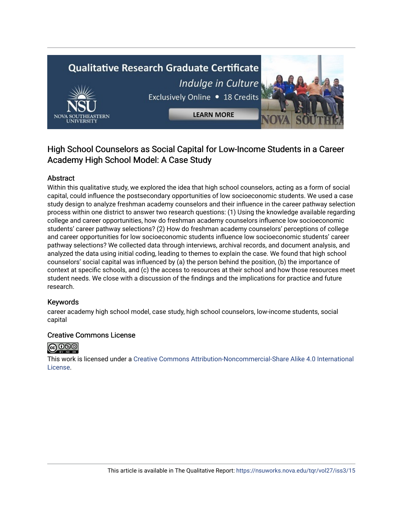# **Qualitative Research Graduate Certificate** Indulge in Culture Exclusively Online . 18 Credits



**LEARN MORE** 

# High School Counselors as Social Capital for Low-Income Students in a Career Academy High School Model: A Case Study

# Abstract

Within this qualitative study, we explored the idea that high school counselors, acting as a form of social capital, could influence the postsecondary opportunities of low socioeconomic students. We used a case study design to analyze freshman academy counselors and their influence in the career pathway selection process within one district to answer two research questions: (1) Using the knowledge available regarding college and career opportunities, how do freshman academy counselors influence low socioeconomic students' career pathway selections? (2) How do freshman academy counselors' perceptions of college and career opportunities for low socioeconomic students influence low socioeconomic students' career pathway selections? We collected data through interviews, archival records, and document analysis, and analyzed the data using initial coding, leading to themes to explain the case. We found that high school counselors' social capital was influenced by (a) the person behind the position, (b) the importance of context at specific schools, and (c) the access to resources at their school and how those resources meet student needs. We close with a discussion of the findings and the implications for practice and future research.

## Keywords

career academy high school model, case study, high school counselors, low-income students, social capital

## Creative Commons License



This work is licensed under a [Creative Commons Attribution-Noncommercial-Share Alike 4.0 International](https://creativecommons.org/licenses/by-nc-sa/4.0/)  [License](https://creativecommons.org/licenses/by-nc-sa/4.0/).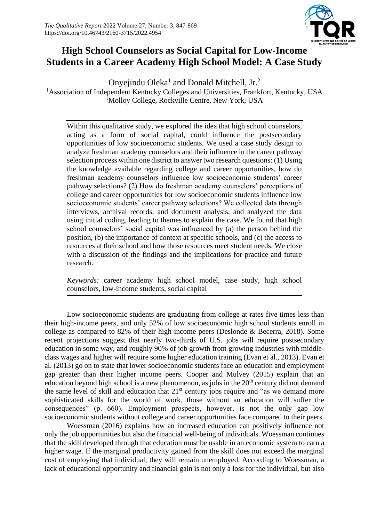

# **High School Counselors as Social Capital for Low-Income Students in a Career Academy High School Model: A Case Study**

Onyejindu Oleka<sup>1</sup> and Donald Mitchell, Jr.<sup>2</sup> <sup>1</sup>Association of Independent Kentucky Colleges and Universities, Frankfort, Kentucky, USA <sup>1</sup>Molloy College, Rockville Centre, New York, USA

Within this qualitative study, we explored the idea that high school counselors, acting as a form of social capital, could influence the postsecondary opportunities of low socioeconomic students. We used a case study design to analyze freshman academy counselors and their influence in the career pathway selection process within one district to answer two research questions: (1) Using the knowledge available regarding college and career opportunities, how do freshman academy counselors influence low socioeconomic students' career pathway selections? (2) How do freshman academy counselors' perceptions of college and career opportunities for low socioeconomic students influence low socioeconomic students' career pathway selections? We collected data through interviews, archival records, and document analysis, and analyzed the data using initial coding, leading to themes to explain the case. We found that high school counselors' social capital was influenced by (a) the person behind the position, (b) the importance of context at specific schools, and (c) the access to resources at their school and how those resources meet student needs. We close with a discussion of the findings and the implications for practice and future research.

*Keywords:* career academy high school model, case study, high school counselors, low-income students, social capital

Low socioeconomic students are graduating from college at rates five times less than their high-income peers, and only 52% of low socioeconomic high school students enroll in college as compared to 82% of their high-income peers (Deslonde & Becerra, 2018). Some recent projections suggest that nearly two-thirds of U.S. jobs will require postsecondary education in some way, and roughly 90% of job growth from growing industries with middleclass wages and higher will require some higher education training (Evan et al., 2013). Evan et al. (2013) go on to state that lower socioeconomic students face an education and employment gap greater than their higher income peers. Cooper and Mulvey (2015) explain that an education beyond high school is a new phenomenon, as jobs in the  $20<sup>th</sup>$  century did not demand the same level of skill and education that  $21<sup>st</sup>$  century jobs require and "as we demand more sophisticated skills for the world of work, those without an education will suffer the consequences" (p. 660). Employment prospects, however, is not the only gap low socioeconomic students without college and career opportunities face compared to their peers.

Woessman (2016) explains how an increased education can positively influence not only the job opportunities but also the financial well-being of individuals. Woessman continues that the skill developed through that education must be usable in an economic system to earn a higher wage. If the marginal productivity gained from the skill does not exceed the marginal cost of employing that individual, they will remain unemployed. According to Woessman, a lack of educational opportunity and financial gain is not only a loss for the individual, but also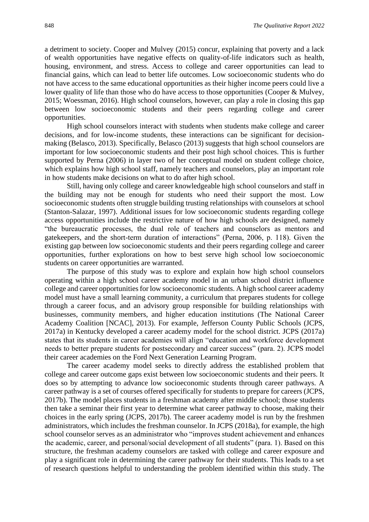a detriment to society. Cooper and Mulvey (2015) concur, explaining that poverty and a lack of wealth opportunities have negative effects on quality-of-life indicators such as health, housing, environment, and stress. Access to college and career opportunities can lead to financial gains, which can lead to better life outcomes. Low socioeconomic students who do not have access to the same educational opportunities as their higher income peers could live a lower quality of life than those who do have access to those opportunities (Cooper & Mulvey, 2015; Woessman, 2016). High school counselors, however, can play a role in closing this gap between low socioeconomic students and their peers regarding college and career opportunities.

High school counselors interact with students when students make college and career decisions, and for low-income students, these interactions can be significant for decisionmaking (Belasco, 2013). Specifically, Belasco (2013) suggests that high school counselors are important for low socioeconomic students and their post high school choices. This is further supported by Perna (2006) in layer two of her conceptual model on student college choice, which explains how high school staff, namely teachers and counselors, play an important role in how students make decisions on what to do after high school.

Still, having only college and career knowledgeable high school counselors and staff in the building may not be enough for students who need their support the most. Low socioeconomic students often struggle building trusting relationships with counselors at school (Stanton-Salazar, 1997). Additional issues for low socioeconomic students regarding college access opportunities include the restrictive nature of how high schools are designed, namely "the bureaucratic processes, the dual role of teachers and counselors as mentors and gatekeepers, and the short-term duration of interactions" (Perna, 2006, p. 118). Given the existing gap between low socioeconomic students and their peers regarding college and career opportunities, further explorations on how to best serve high school low socioeconomic students on career opportunities are warranted.

The purpose of this study was to explore and explain how high school counselors operating within a high school career academy model in an urban school district influence college and career opportunities for low socioeconomic students. A high school career academy model must have a small learning community, a curriculum that prepares students for college through a career focus, and an advisory group responsible for building relationships with businesses, community members, and higher education institutions (The National Career Academy Coalition [NCAC], 2013). For example, Jefferson County Public Schools (JCPS, 2017a) in Kentucky developed a career academy model for the school district. JCPS (2017a) states that its students in career academies will align "education and workforce development needs to better prepare students for postsecondary and career success" (para. 2). JCPS model their career academies on the Ford Next Generation Learning Program.

The career academy model seeks to directly address the established problem that college and career outcome gaps exist between low socioeconomic students and their peers. It does so by attempting to advance low socioeconomic students through career pathways. A career pathway is a set of courses offered specifically for students to prepare for careers (JCPS, 2017b). The model places students in a freshman academy after middle school; those students then take a seminar their first year to determine what career pathway to choose, making their choices in the early spring (JCPS, 2017b). The career academy model is run by the freshmen administrators, which includes the freshman counselor. In JCPS (2018a), for example, the high school counselor serves as an administrator who "improves student achievement and enhances the academic, career, and personal/social development of all students" (para. 1). Based on this structure, the freshman academy counselors are tasked with college and career exposure and play a significant role in determining the career pathway for their students. This leads to a set of research questions helpful to understanding the problem identified within this study. The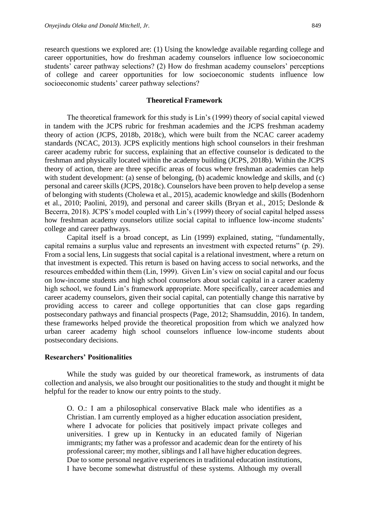research questions we explored are: (1) Using the knowledge available regarding college and career opportunities, how do freshman academy counselors influence low socioeconomic students' career pathway selections? (2) How do freshman academy counselors' perceptions of college and career opportunities for low socioeconomic students influence low socioeconomic students' career pathway selections?

#### **Theoretical Framework**

The theoretical framework for this study is Lin's (1999) theory of social capital viewed in tandem with the JCPS rubric for freshman academies and the JCPS freshman academy theory of action (JCPS, 2018b, 2018c), which were built from the NCAC career academy standards (NCAC, 2013). JCPS explicitly mentions high school counselors in their freshman career academy rubric for success, explaining that an effective counselor is dedicated to the freshman and physically located within the academy building (JCPS, 2018b). Within the JCPS theory of action, there are three specific areas of focus where freshman academies can help with student development: (a) sense of belonging, (b) academic knowledge and skills, and (c) personal and career skills (JCPS, 2018c). Counselors have been proven to help develop a sense of belonging with students (Cholewa et al., 2015), academic knowledge and skills (Bodenhorn et al., 2010; Paolini, 2019), and personal and career skills (Bryan et al., 2015; Deslonde & Becerra, 2018). JCPS's model coupled with Lin's (1999) theory of social capital helped assess how freshman academy counselors utilize social capital to influence low-income students' college and career pathways.

Capital itself is a broad concept, as Lin (1999) explained, stating, "fundamentally, capital remains a surplus value and represents an investment with expected returns" (p. 29). From a social lens, Lin suggests that social capital is a relational investment, where a return on that investment is expected. This return is based on having access to social networks, and the resources embedded within them (Lin, 1999). Given Lin's view on social capital and our focus on low-income students and high school counselors about social capital in a career academy high school, we found Lin's framework appropriate. More specifically, career academies and career academy counselors, given their social capital, can potentially change this narrative by providing access to career and college opportunities that can close gaps regarding postsecondary pathways and financial prospects (Page, 2012; Shamsuddin, 2016). In tandem, these frameworks helped provide the theoretical proposition from which we analyzed how urban career academy high school counselors influence low-income students about postsecondary decisions.

#### **Researchers' Positionalities**

While the study was guided by our theoretical framework, as instruments of data collection and analysis, we also brought our positionalities to the study and thought it might be helpful for the reader to know our entry points to the study.

O. O.: I am a philosophical conservative Black male who identifies as a Christian. I am currently employed as a higher education association president, where I advocate for policies that positively impact private colleges and universities. I grew up in Kentucky in an educated family of Nigerian immigrants; my father was a professor and academic dean for the entirety of his professional career; my mother, siblings and I all have higher education degrees. Due to some personal negative experiences in traditional education institutions, I have become somewhat distrustful of these systems. Although my overall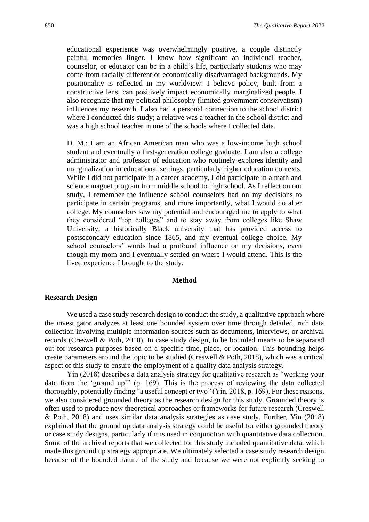educational experience was overwhelmingly positive, a couple distinctly painful memories linger. I know how significant an individual teacher, counselor, or educator can be in a child's life, particularly students who may come from racially different or economically disadvantaged backgrounds. My positionality is reflected in my worldview: I believe policy, built from a constructive lens, can positively impact economically marginalized people. I also recognize that my political philosophy (limited government conservatism) influences my research. I also had a personal connection to the school district where I conducted this study; a relative was a teacher in the school district and was a high school teacher in one of the schools where I collected data.

D. M.: I am an African American man who was a low-income high school student and eventually a first-generation college graduate. I am also a college administrator and professor of education who routinely explores identity and marginalization in educational settings, particularly higher education contexts. While I did not participate in a career academy, I did participate in a math and science magnet program from middle school to high school. As I reflect on our study, I remember the influence school counselors had on my decisions to participate in certain programs, and more importantly, what I would do after college. My counselors saw my potential and encouraged me to apply to what they considered "top colleges" and to stay away from colleges like Shaw University, a historically Black university that has provided access to postsecondary education since 1865, and my eventual college choice. My school counselors' words had a profound influence on my decisions, even though my mom and I eventually settled on where I would attend. This is the lived experience I brought to the study.

#### **Method**

#### **Research Design**

We used a case study research design to conduct the study, a qualitative approach where the investigator analyzes at least one bounded system over time through detailed, rich data collection involving multiple information sources such as documents, interviews, or archival records (Creswell & Poth, 2018). In case study design, to be bounded means to be separated out for research purposes based on a specific time, place, or location. This bounding helps create parameters around the topic to be studied (Creswell  $\&$  Poth, 2018), which was a critical aspect of this study to ensure the employment of a quality data analysis strategy.

Yin (2018) describes a data analysis strategy for qualitative research as "working your data from the 'ground up'" (p. 169). This is the process of reviewing the data collected thoroughly, potentially finding "a useful concept or two" (Yin, 2018, p. 169). For these reasons, we also considered grounded theory as the research design for this study. Grounded theory is often used to produce new theoretical approaches or frameworks for future research (Creswell & Poth, 2018) and uses similar data analysis strategies as case study. Further, Yin (2018) explained that the ground up data analysis strategy could be useful for either grounded theory or case study designs, particularly if it is used in conjunction with quantitative data collection. Some of the archival reports that we collected for this study included quantitative data, which made this ground up strategy appropriate. We ultimately selected a case study research design because of the bounded nature of the study and because we were not explicitly seeking to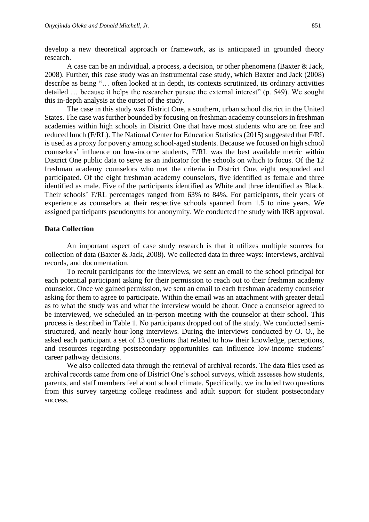develop a new theoretical approach or framework, as is anticipated in grounded theory research.

A case can be an individual, a process, a decision, or other phenomena (Baxter & Jack, 2008). Further, this case study was an instrumental case study, which Baxter and Jack (2008) describe as being "… often looked at in depth, its contexts scrutinized, its ordinary activities detailed … because it helps the researcher pursue the external interest" (p. 549). We sought this in-depth analysis at the outset of the study.

The case in this study was District One, a southern, urban school district in the United States. The case was further bounded by focusing on freshman academy counselors in freshman academies within high schools in District One that have most students who are on free and reduced lunch (F/RL). The National Center for Education Statistics (2015) suggested that F/RL is used as a proxy for poverty among school-aged students. Because we focused on high school counselors' influence on low-income students, F/RL was the best available metric within District One public data to serve as an indicator for the schools on which to focus. Of the 12 freshman academy counselors who met the criteria in District One, eight responded and participated. Of the eight freshman academy counselors, five identified as female and three identified as male. Five of the participants identified as White and three identified as Black. Their schools' F/RL percentages ranged from 63% to 84%. For participants, their years of experience as counselors at their respective schools spanned from 1.5 to nine years. We assigned participants pseudonyms for anonymity. We conducted the study with IRB approval.

#### **Data Collection**

An important aspect of case study research is that it utilizes multiple sources for collection of data (Baxter & Jack, 2008). We collected data in three ways: interviews, archival records, and documentation.

To recruit participants for the interviews, we sent an email to the school principal for each potential participant asking for their permission to reach out to their freshman academy counselor. Once we gained permission, we sent an email to each freshman academy counselor asking for them to agree to participate. Within the email was an attachment with greater detail as to what the study was and what the interview would be about. Once a counselor agreed to be interviewed, we scheduled an in-person meeting with the counselor at their school. This process is described in Table 1. No participants dropped out of the study. We conducted semistructured, and nearly hour-long interviews. During the interviews conducted by O. O., he asked each participant a set of 13 questions that related to how their knowledge, perceptions, and resources regarding postsecondary opportunities can influence low-income students' career pathway decisions.

We also collected data through the retrieval of archival records. The data files used as archival records came from one of District One's school surveys, which assesses how students, parents, and staff members feel about school climate. Specifically, we included two questions from this survey targeting college readiness and adult support for student postsecondary success.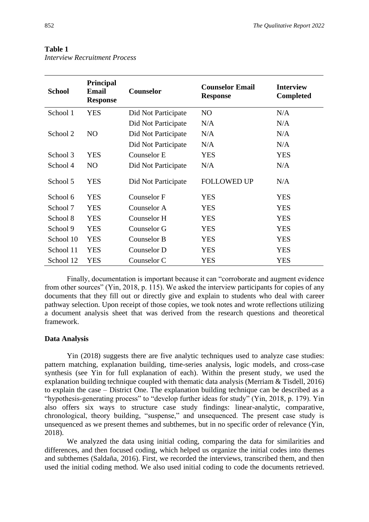#### **Table 1**

| <b>School</b> | <b>Principal</b><br><b>Email</b><br><b>Response</b> | <b>Counselor</b>    | <b>Counselor Email</b><br><b>Response</b> | <b>Interview</b><br><b>Completed</b> |
|---------------|-----------------------------------------------------|---------------------|-------------------------------------------|--------------------------------------|
| School 1      | <b>YES</b>                                          | Did Not Participate | NO                                        | N/A                                  |
|               |                                                     | Did Not Participate | N/A                                       | N/A                                  |
| School 2      | NO                                                  | Did Not Participate | N/A                                       | N/A                                  |
|               |                                                     | Did Not Participate | N/A                                       | N/A                                  |
| School 3      | <b>YES</b>                                          | Counselor E         | <b>YES</b>                                | <b>YES</b>                           |
| School 4      | N <sub>O</sub>                                      | Did Not Participate | N/A                                       | N/A                                  |
| School 5      | <b>YES</b>                                          | Did Not Participate | <b>FOLLOWED UP</b>                        | N/A                                  |
| School 6      | <b>YES</b>                                          | <b>Counselor F</b>  | <b>YES</b>                                | <b>YES</b>                           |
| School 7      | <b>YES</b>                                          | Counselor A         | <b>YES</b>                                | <b>YES</b>                           |
| School 8      | <b>YES</b>                                          | Counselor H         | <b>YES</b>                                | <b>YES</b>                           |
| School 9      | <b>YES</b>                                          | Counselor G         | <b>YES</b>                                | <b>YES</b>                           |
| School 10     | <b>YES</b>                                          | Counselor B         | <b>YES</b>                                | <b>YES</b>                           |
| School 11     | <b>YES</b>                                          | Counselor D         | <b>YES</b>                                | <b>YES</b>                           |
| School 12     | <b>YES</b>                                          | Counselor C         | YES                                       | YES                                  |

*Interview Recruitment Process*

Finally, documentation is important because it can "corroborate and augment evidence from other sources" (Yin, 2018, p. 115). We asked the interview participants for copies of any documents that they fill out or directly give and explain to students who deal with career pathway selection. Upon receipt of those copies, we took notes and wrote reflections utilizing a document analysis sheet that was derived from the research questions and theoretical framework.

#### **Data Analysis**

Yin (2018) suggests there are five analytic techniques used to analyze case studies: pattern matching, explanation building, time-series analysis, logic models, and cross-case synthesis (see Yin for full explanation of each). Within the present study, we used the explanation building technique coupled with thematic data analysis (Merriam & Tisdell, 2016) to explain the case – District One. The explanation building technique can be described as a "hypothesis-generating process" to "develop further ideas for study" (Yin, 2018, p. 179). Yin also offers six ways to structure case study findings: linear-analytic, comparative, chronological, theory building, "suspense," and unsequenced. The present case study is unsequenced as we present themes and subthemes, but in no specific order of relevance (Yin, 2018).

We analyzed the data using initial coding, comparing the data for similarities and differences, and then focused coding, which helped us organize the initial codes into themes and subthemes (Saldaña, 2016). First, we recorded the interviews, transcribed them, and then used the initial coding method. We also used initial coding to code the documents retrieved.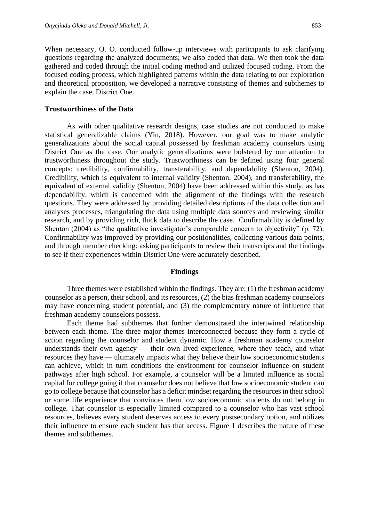When necessary, O. O. conducted follow-up interviews with participants to ask clarifying questions regarding the analyzed documents; we also coded that data. We then took the data gathered and coded through the initial coding method and utilized focused coding. From the focused coding process, which highlighted patterns within the data relating to our exploration and theoretical proposition, we developed a narrative consisting of themes and subthemes to explain the case, District One.

#### **Trustworthiness of the Data**

As with other qualitative research designs, case studies are not conducted to make statistical generalizable claims (Yin, 2018). However, our goal was to make analytic generalizations about the social capital possessed by freshman academy counselors using District One as the case. Our analytic generalizations were bolstered by our attention to trustworthiness throughout the study. Trustworthiness can be defined using four general concepts: credibility, confirmability, transferability, and dependability (Shenton, 2004). Credibility, which is equivalent to internal validity (Shenton, 2004), and transferability, the equivalent of external validity (Shenton, 2004) have been addressed within this study, as has dependability, which is concerned with the alignment of the findings with the research questions. They were addressed by providing detailed descriptions of the data collection and analyses processes, triangulating the data using multiple data sources and reviewing similar research, and by providing rich, thick data to describe the case. Confirmability is defined by Shenton (2004) as "the qualitative investigator's comparable concern to objectivity" (p. 72). Confirmability was improved by providing our positionalities, collecting various data points, and through member checking: asking participants to review their transcripts and the findings to see if their experiences within District One were accurately described.

#### **Findings**

Three themes were established within the findings. They are: (1) the freshman academy counselor as a person, their school, and its resources, (2) the bias freshman academy counselors may have concerning student potential, and (3) the complementary nature of influence that freshman academy counselors possess.

Each theme had subthemes that further demonstrated the intertwined relationship between each theme. The three major themes interconnected because they form a cycle of action regarding the counselor and student dynamic. How a freshman academy counselor understands their own agency — their own lived experience, where they teach, and what resources they have — ultimately impacts what they believe their low socioeconomic students can achieve, which in turn conditions the environment for counselor influence on student pathways after high school. For example, a counselor will be a limited influence as social capital for college going if that counselor does not believe that low socioeconomic student can go to college because that counselor has a deficit mindset regarding the resources in their school or some life experience that convinces them low socioeconomic students do not belong in college. That counselor is especially limited compared to a counselor who has vast school resources, believes every student deserves access to every postsecondary option, and utilizes their influence to ensure each student has that access. Figure 1 describes the nature of these themes and subthemes.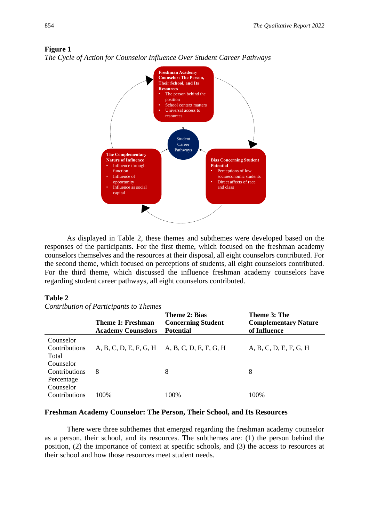



*The Cycle of Action for Counselor Influence Over Student Career Pathways*

As displayed in Table 2, these themes and subthemes were developed based on the responses of the participants. For the first theme, which focused on the freshman academy counselors themselves and the resources at their disposal, all eight counselors contributed. For the second theme, which focused on perceptions of students, all eight counselors contributed. For the third theme, which discussed the influence freshman academy counselors have regarding student career pathways, all eight counselors contributed.

#### **Table 2**

*Contribution of Participants to Themes*

|               |                                                       | <b>Theme 2: Bias</b>                          | Theme 3: The                                |
|---------------|-------------------------------------------------------|-----------------------------------------------|---------------------------------------------|
|               | <b>Theme 1: Freshman</b><br><b>Academy Counselors</b> | <b>Concerning Student</b><br><b>Potential</b> | <b>Complementary Nature</b><br>of Influence |
| Counselor     |                                                       |                                               |                                             |
| Contributions | A, B, C, D, E, F, G, H A, B, C, D, E, F, G, H         |                                               | A, B, C, D, E, F, G, H                      |
| Total         |                                                       |                                               |                                             |
| Counselor     |                                                       |                                               |                                             |
| Contributions | 8                                                     | 8                                             | 8                                           |
| Percentage    |                                                       |                                               |                                             |
| Counselor     |                                                       |                                               |                                             |
| Contributions | 100%                                                  | 100%                                          | 100%                                        |

#### **Freshman Academy Counselor: The Person, Their School, and Its Resources**

There were three subthemes that emerged regarding the freshman academy counselor as a person, their school, and its resources. The subthemes are: (1) the person behind the position, (2) the importance of context at specific schools, and (3) the access to resources at their school and how those resources meet student needs.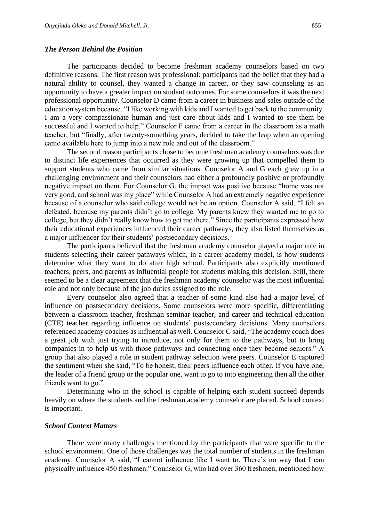#### *The Person Behind the Position*

The participants decided to become freshman academy counselors based on two definitive reasons. The first reason was professional: participants had the belief that they had a natural ability to counsel, they wanted a change in career, or they saw counseling as an opportunity to have a greater impact on student outcomes. For some counselors it was the next professional opportunity. Counselor D came from a career in business and sales outside of the education system because, "I like working with kids and I wanted to get back to the community. I am a very compassionate human and just care about kids and I wanted to see them be successful and I wanted to help." Counselor F came from a career in the classroom as a math teacher, but "finally, after twenty-something years, decided to take the leap when an opening came available here to jump into a new role and out of the classroom."

The second reason participants chose to become freshman academy counselors was due to distinct life experiences that occurred as they were growing up that compelled them to support students who came from similar situations. Counselor A and G each grew up in a challenging environment and their counselors had either a profoundly positive or profoundly negative impact on them. For Counselor G, the impact was positive because "home was not very good, and school was my place" while Counselor A had an extremely negative experience because of a counselor who said college would not be an option. Counselor A said, "I felt so defeated, because my parents didn't go to college. My parents knew they wanted me to go to college, but they didn't really know how to get me there." Since the participants expressed how their educational experiences influenced their career pathways, they also listed themselves as a major influencer for their students' postsecondary decisions.

The participants believed that the freshman academy counselor played a major role in students selecting their career pathways which, in a career academy model, is how students determine what they want to do after high school. Participants also explicitly mentioned teachers, peers, and parents as influential people for students making this decision. Still, there seemed to be a clear agreement that the freshman academy counselor was the most influential role and not only because of the job duties assigned to the role.

Every counselor also agreed that a teacher of some kind also had a major level of influence on postsecondary decisions. Some counselors were more specific, differentiating between a classroom teacher, freshman seminar teacher, and career and technical education (CTE) teacher regarding influence on students' postsecondary decisions. Many counselors referenced academy coaches as influential as well. Counselor C said, "The academy coach does a great job with just trying to introduce, not only for them to the pathways, but to bring companies in to help us with those pathways and connecting once they become seniors." A group that also played a role in student pathway selection were peers. Counselor E captured the sentiment when she said, "To be honest, their peers influence each other. If you have one, the leader of a friend group or the popular one, want to go to into engineering then all the other friends want to go."

Determining who in the school is capable of helping each student succeed depends heavily on where the students and the freshman academy counselor are placed. School context is important.

#### *School Context Matters*

There were many challenges mentioned by the participants that were specific to the school environment. One of those challenges was the total number of students in the freshman academy. Counselor A said, "I cannot influence like I want to. There's no way that I can physically influence 450 freshmen." Counselor G, who had over 360 freshmen, mentioned how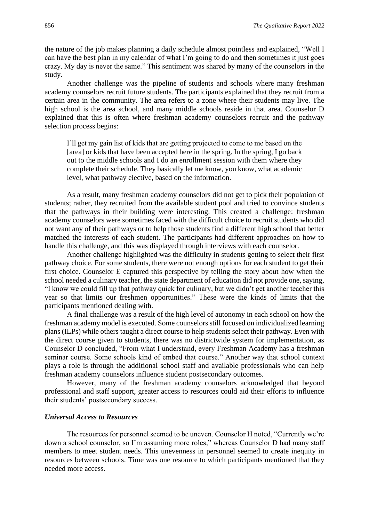the nature of the job makes planning a daily schedule almost pointless and explained, "Well I can have the best plan in my calendar of what I'm going to do and then sometimes it just goes crazy. My day is never the same." This sentiment was shared by many of the counselors in the study.

Another challenge was the pipeline of students and schools where many freshman academy counselors recruit future students. The participants explained that they recruit from a certain area in the community. The area refers to a zone where their students may live. The high school is the area school, and many middle schools reside in that area. Counselor D explained that this is often where freshman academy counselors recruit and the pathway selection process begins:

I'll get my gain list of kids that are getting projected to come to me based on the [area] or kids that have been accepted here in the spring. In the spring, I go back out to the middle schools and I do an enrollment session with them where they complete their schedule. They basically let me know, you know, what academic level, what pathway elective, based on the information.

As a result, many freshman academy counselors did not get to pick their population of students; rather, they recruited from the available student pool and tried to convince students that the pathways in their building were interesting. This created a challenge: freshman academy counselors were sometimes faced with the difficult choice to recruit students who did not want any of their pathways or to help those students find a different high school that better matched the interests of each student. The participants had different approaches on how to handle this challenge, and this was displayed through interviews with each counselor.

Another challenge highlighted was the difficulty in students getting to select their first pathway choice. For some students, there were not enough options for each student to get their first choice. Counselor E captured this perspective by telling the story about how when the school needed a culinary teacher, the state department of education did not provide one, saying, "I know we could fill up that pathway quick for culinary, but we didn't get another teacher this year so that limits our freshmen opportunities." These were the kinds of limits that the participants mentioned dealing with.

A final challenge was a result of the high level of autonomy in each school on how the freshman academy model is executed. Some counselors still focused on individualized learning plans (ILPs) while others taught a direct course to help students select their pathway. Even with the direct course given to students, there was no districtwide system for implementation, as Counselor D concluded, "From what I understand, every Freshman Academy has a freshman seminar course. Some schools kind of embed that course." Another way that school context plays a role is through the additional school staff and available professionals who can help freshman academy counselors influence student postsecondary outcomes.

However, many of the freshman academy counselors acknowledged that beyond professional and staff support, greater access to resources could aid their efforts to influence their students' postsecondary success.

#### *Universal Access to Resources*

The resources for personnel seemed to be uneven. Counselor H noted, "Currently we're down a school counselor, so I'm assuming more roles," whereas Counselor D had many staff members to meet student needs. This unevenness in personnel seemed to create inequity in resources between schools. Time was one resource to which participants mentioned that they needed more access.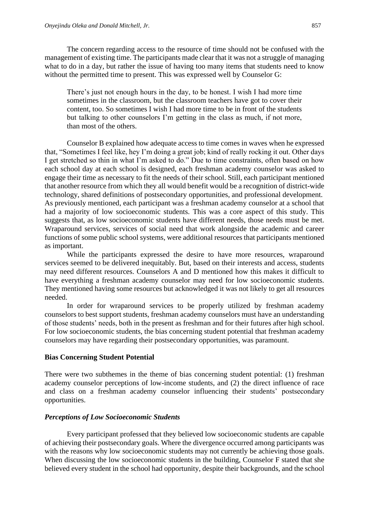The concern regarding access to the resource of time should not be confused with the management of existing time. The participants made clear that it was not a struggle of managing what to do in a day, but rather the issue of having too many items that students need to know without the permitted time to present. This was expressed well by Counselor G:

There's just not enough hours in the day, to be honest. I wish I had more time sometimes in the classroom, but the classroom teachers have got to cover their content, too. So sometimes I wish I had more time to be in front of the students but talking to other counselors I'm getting in the class as much, if not more, than most of the others.

Counselor B explained how adequate access to time comes in waves when he expressed that, "Sometimes I feel like, hey I'm doing a great job; kind of really rocking it out. Other days I get stretched so thin in what I'm asked to do." Due to time constraints, often based on how each school day at each school is designed, each freshman academy counselor was asked to engage their time as necessary to fit the needs of their school. Still, each participant mentioned that another resource from which they all would benefit would be a recognition of district-wide technology, shared definitions of postsecondary opportunities, and professional development. As previously mentioned, each participant was a freshman academy counselor at a school that had a majority of low socioeconomic students. This was a core aspect of this study. This suggests that, as low socioeconomic students have different needs, those needs must be met. Wraparound services, services of social need that work alongside the academic and career functions of some public school systems, were additional resources that participants mentioned as important.

While the participants expressed the desire to have more resources, wraparound services seemed to be delivered inequitably. But, based on their interests and access, students may need different resources. Counselors A and D mentioned how this makes it difficult to have everything a freshman academy counselor may need for low socioeconomic students. They mentioned having some resources but acknowledged it was not likely to get all resources needed.

In order for wraparound services to be properly utilized by freshman academy counselors to best support students, freshman academy counselors must have an understanding of those students' needs, both in the present as freshman and for their futures after high school. For low socioeconomic students, the bias concerning student potential that freshman academy counselors may have regarding their postsecondary opportunities, was paramount.

#### **Bias Concerning Student Potential**

There were two subthemes in the theme of bias concerning student potential: (1) freshman academy counselor perceptions of low-income students, and (2) the direct influence of race and class on a freshman academy counselor influencing their students' postsecondary opportunities.

#### *Perceptions of Low Socioeconomic Students*

Every participant professed that they believed low socioeconomic students are capable of achieving their postsecondary goals. Where the divergence occurred among participants was with the reasons why low socioeconomic students may not currently be achieving those goals. When discussing the low socioeconomic students in the building, Counselor F stated that she believed every student in the school had opportunity, despite their backgrounds, and the school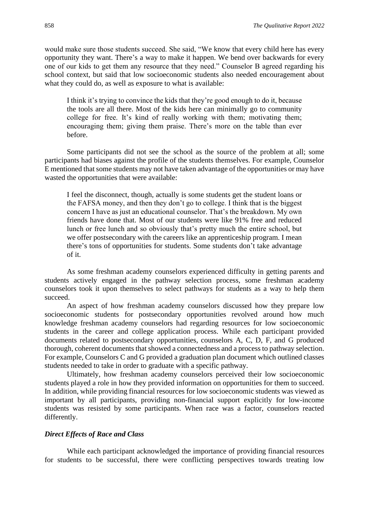would make sure those students succeed. She said, "We know that every child here has every opportunity they want. There's a way to make it happen. We bend over backwards for every one of our kids to get them any resource that they need." Counselor B agreed regarding his school context, but said that low socioeconomic students also needed encouragement about what they could do, as well as exposure to what is available:

I think it's trying to convince the kids that they're good enough to do it, because the tools are all there. Most of the kids here can minimally go to community college for free. It's kind of really working with them; motivating them; encouraging them; giving them praise. There's more on the table than ever before.

Some participants did not see the school as the source of the problem at all; some participants had biases against the profile of the students themselves. For example, Counselor E mentioned that some students may not have taken advantage of the opportunities or may have wasted the opportunities that were available:

I feel the disconnect, though, actually is some students get the student loans or the FAFSA money, and then they don't go to college. I think that is the biggest concern I have as just an educational counselor. That's the breakdown. My own friends have done that. Most of our students were like 91% free and reduced lunch or free lunch and so obviously that's pretty much the entire school, but we offer postsecondary with the careers like an apprenticeship program. I mean there's tons of opportunities for students. Some students don't take advantage of it.

As some freshman academy counselors experienced difficulty in getting parents and students actively engaged in the pathway selection process, some freshman academy counselors took it upon themselves to select pathways for students as a way to help them succeed.

An aspect of how freshman academy counselors discussed how they prepare low socioeconomic students for postsecondary opportunities revolved around how much knowledge freshman academy counselors had regarding resources for low socioeconomic students in the career and college application process. While each participant provided documents related to postsecondary opportunities, counselors A, C, D, F, and G produced thorough, coherent documents that showed a connectedness and a process to pathway selection. For example, Counselors C and G provided a graduation plan document which outlined classes students needed to take in order to graduate with a specific pathway.

Ultimately, how freshman academy counselors perceived their low socioeconomic students played a role in how they provided information on opportunities for them to succeed. In addition, while providing financial resources for low socioeconomic students was viewed as important by all participants, providing non-financial support explicitly for low-income students was resisted by some participants. When race was a factor, counselors reacted differently.

#### *Direct Effects of Race and Class*

While each participant acknowledged the importance of providing financial resources for students to be successful, there were conflicting perspectives towards treating low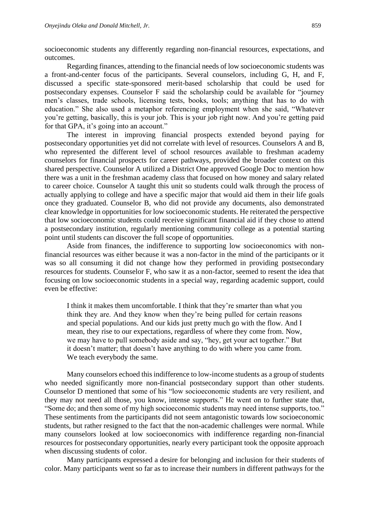socioeconomic students any differently regarding non-financial resources, expectations, and outcomes.

Regarding finances, attending to the financial needs of low socioeconomic students was a front-and-center focus of the participants. Several counselors, including G, H, and F, discussed a specific state-sponsored merit-based scholarship that could be used for postsecondary expenses. Counselor F said the scholarship could be available for "journey men's classes, trade schools, licensing tests, books, tools; anything that has to do with education." She also used a metaphor referencing employment when she said, "Whatever you're getting, basically, this is your job. This is your job right now. And you're getting paid for that GPA, it's going into an account."

The interest in improving financial prospects extended beyond paying for postsecondary opportunities yet did not correlate with level of resources. Counselors A and B, who represented the different level of school resources available to freshman academy counselors for financial prospects for career pathways, provided the broader context on this shared perspective. Counselor A utilized a District One approved Google Doc to mention how there was a unit in the freshman academy class that focused on how money and salary related to career choice. Counselor A taught this unit so students could walk through the process of actually applying to college and have a specific major that would aid them in their life goals once they graduated. Counselor B, who did not provide any documents, also demonstrated clear knowledge in opportunities for low socioeconomic students. He reiterated the perspective that low socioeconomic students could receive significant financial aid if they chose to attend a postsecondary institution, regularly mentioning community college as a potential starting point until students can discover the full scope of opportunities.

Aside from finances, the indifference to supporting low socioeconomics with nonfinancial resources was either because it was a non-factor in the mind of the participants or it was so all consuming it did not change how they performed in providing postsecondary resources for students. Counselor F, who saw it as a non-factor, seemed to resent the idea that focusing on low socioeconomic students in a special way, regarding academic support, could even be effective:

I think it makes them uncomfortable. I think that they're smarter than what you think they are. And they know when they're being pulled for certain reasons and special populations. And our kids just pretty much go with the flow. And I mean, they rise to our expectations, regardless of where they come from. Now, we may have to pull somebody aside and say, "hey, get your act together." But it doesn't matter; that doesn't have anything to do with where you came from. We teach everybody the same.

Many counselors echoed this indifference to low-income students as a group of students who needed significantly more non-financial postsecondary support than other students. Counselor D mentioned that some of his "low socioeconomic students are very resilient, and they may not need all those, you know, intense supports." He went on to further state that, "Some do; and then some of my high socioeconomic students may need intense supports, too." These sentiments from the participants did not seem antagonistic towards low socioeconomic students, but rather resigned to the fact that the non-academic challenges were normal. While many counselors looked at low socioeconomics with indifference regarding non-financial resources for postsecondary opportunities, nearly every participant took the opposite approach when discussing students of color.

Many participants expressed a desire for belonging and inclusion for their students of color. Many participants went so far as to increase their numbers in different pathways for the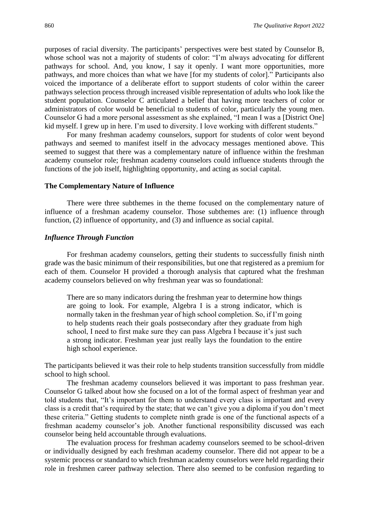purposes of racial diversity. The participants' perspectives were best stated by Counselor B, whose school was not a majority of students of color: "I'm always advocating for different pathways for school. And, you know, I say it openly. I want more opportunities, more pathways, and more choices than what we have [for my students of color]." Participants also voiced the importance of a deliberate effort to support students of color within the career pathways selection process through increased visible representation of adults who look like the student population. Counselor C articulated a belief that having more teachers of color or administrators of color would be beneficial to students of color, particularly the young men. Counselor G had a more personal assessment as she explained, "I mean I was a [District One] kid myself. I grew up in here. I'm used to diversity. I love working with different students."

For many freshman academy counselors, support for students of color went beyond pathways and seemed to manifest itself in the advocacy messages mentioned above. This seemed to suggest that there was a complementary nature of influence within the freshman academy counselor role; freshman academy counselors could influence students through the functions of the job itself, highlighting opportunity, and acting as social capital.

#### **The Complementary Nature of Influence**

There were three subthemes in the theme focused on the complementary nature of influence of a freshman academy counselor. Those subthemes are: (1) influence through function, (2) influence of opportunity, and (3) and influence as social capital.

#### *Influence Through Function*

For freshman academy counselors, getting their students to successfully finish ninth grade was the basic minimum of their responsibilities, but one that registered as a premium for each of them. Counselor H provided a thorough analysis that captured what the freshman academy counselors believed on why freshman year was so foundational:

There are so many indicators during the freshman year to determine how things are going to look. For example, Algebra I is a strong indicator, which is normally taken in the freshman year of high school completion. So, if I'm going to help students reach their goals postsecondary after they graduate from high school, I need to first make sure they can pass Algebra I because it's just such a strong indicator. Freshman year just really lays the foundation to the entire high school experience.

The participants believed it was their role to help students transition successfully from middle school to high school.

The freshman academy counselors believed it was important to pass freshman year. Counselor G talked about how she focused on a lot of the formal aspect of freshman year and told students that, "It's important for them to understand every class is important and every class is a credit that's required by the state; that we can't give you a diploma if you don't meet these criteria." Getting students to complete ninth grade is one of the functional aspects of a freshman academy counselor's job. Another functional responsibility discussed was each counselor being held accountable through evaluations.

The evaluation process for freshman academy counselors seemed to be school-driven or individually designed by each freshman academy counselor. There did not appear to be a systemic process or standard to which freshman academy counselors were held regarding their role in freshmen career pathway selection. There also seemed to be confusion regarding to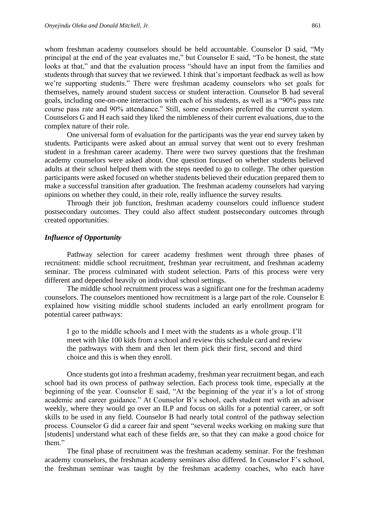whom freshman academy counselors should be held accountable. Counselor D said, "My principal at the end of the year evaluates me," but Counselor E said, "To be honest, the state looks at that," and that the evaluation process "should have an input from the families and students through that survey that we reviewed. I think that's important feedback as well as how we're supporting students." There were freshman academy counselors who set goals for themselves, namely around student success or student interaction. Counselor B had several goals, including one-on-one interaction with each of his students, as well as a "90% pass rate course pass rate and 90% attendance." Still, some counselors preferred the current system. Counselors G and H each said they liked the nimbleness of their current evaluations, due to the complex nature of their role.

One universal form of evaluation for the participants was the year end survey taken by students. Participants were asked about an annual survey that went out to every freshman student in a freshman career academy. There were two survey questions that the freshman academy counselors were asked about. One question focused on whether students believed adults at their school helped them with the steps needed to go to college. The other question participants were asked focused on whether students believed their education prepared them to make a successful transition after graduation. The freshman academy counselors had varying opinions on whether they could, in their role, really influence the survey results.

Through their job function, freshman academy counselors could influence student postsecondary outcomes. They could also affect student postsecondary outcomes through created opportunities.

#### *Influence of Opportunity*

Pathway selection for career academy freshmen went through three phases of recruitment: middle school recruitment, freshman year recruitment, and freshman academy seminar. The process culminated with student selection. Parts of this process were very different and depended heavily on individual school settings.

The middle school recruitment process was a significant one for the freshman academy counselors. The counselors mentioned how recruitment is a large part of the role. Counselor E explained how visiting middle school students included an early enrollment program for potential career pathways:

I go to the middle schools and I meet with the students as a whole group. I'll meet with like 100 kids from a school and review this schedule card and review the pathways with them and then let them pick their first, second and third choice and this is when they enroll.

Once students got into a freshman academy, freshman year recruitment began, and each school had its own process of pathway selection. Each process took time, especially at the beginning of the year. Counselor E said, "At the beginning of the year it's a lot of strong academic and career guidance." At Counselor B's school, each student met with an advisor weekly, where they would go over an ILP and focus on skills for a potential career, or soft skills to be used in any field. Counselor B had nearly total control of the pathway selection process. Counselor G did a career fair and spent "several weeks working on making sure that [students] understand what each of these fields are, so that they can make a good choice for them."

The final phase of recruitment was the freshman academy seminar. For the freshman academy counselors, the freshman academy seminars also differed. In Counselor F's school, the freshman seminar was taught by the freshman academy coaches, who each have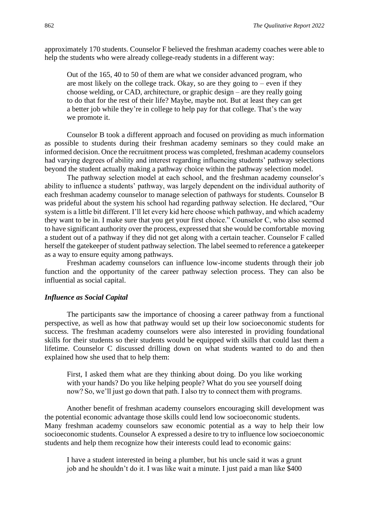approximately 170 students. Counselor F believed the freshman academy coaches were able to help the students who were already college-ready students in a different way:

Out of the 165, 40 to 50 of them are what we consider advanced program, who are most likely on the college track. Okay, so are they going to  $-$  even if they choose welding, or CAD, architecture, or graphic design – are they really going to do that for the rest of their life? Maybe, maybe not. But at least they can get a better job while they're in college to help pay for that college. That's the way we promote it.

Counselor B took a different approach and focused on providing as much information as possible to students during their freshman academy seminars so they could make an informed decision. Once the recruitment process was completed, freshman academy counselors had varying degrees of ability and interest regarding influencing students' pathway selections beyond the student actually making a pathway choice within the pathway selection model.

The pathway selection model at each school, and the freshman academy counselor's ability to influence a students' pathway, was largely dependent on the individual authority of each freshman academy counselor to manage selection of pathways for students. Counselor B was prideful about the system his school had regarding pathway selection. He declared, "Our system is a little bit different. I'll let every kid here choose which pathway, and which academy they want to be in. I make sure that you get your first choice." Counselor C, who also seemed to have significant authority over the process, expressed that she would be comfortable moving a student out of a pathway if they did not get along with a certain teacher. Counselor F called herself the gatekeeper of student pathway selection. The label seemed to reference a gatekeeper as a way to ensure equity among pathways.

Freshman academy counselors can influence low-income students through their job function and the opportunity of the career pathway selection process. They can also be influential as social capital.

#### *Influence as Social Capital*

The participants saw the importance of choosing a career pathway from a functional perspective, as well as how that pathway would set up their low socioeconomic students for success. The freshman academy counselors were also interested in providing foundational skills for their students so their students would be equipped with skills that could last them a lifetime. Counselor C discussed drilling down on what students wanted to do and then explained how she used that to help them:

First, I asked them what are they thinking about doing. Do you like working with your hands? Do you like helping people? What do you see yourself doing now? So, we'll just go down that path. I also try to connect them with programs.

Another benefit of freshman academy counselors encouraging skill development was the potential economic advantage those skills could lend low socioeconomic students. Many freshman academy counselors saw economic potential as a way to help their low socioeconomic students. Counselor A expressed a desire to try to influence low socioeconomic students and help them recognize how their interests could lead to economic gains:

I have a student interested in being a plumber, but his uncle said it was a grunt job and he shouldn't do it. I was like wait a minute. I just paid a man like \$400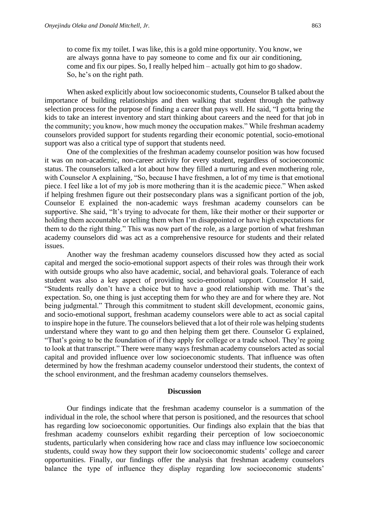to come fix my toilet. I was like, this is a gold mine opportunity. You know, we are always gonna have to pay someone to come and fix our air conditioning, come and fix our pipes. So, I really helped him – actually got him to go shadow. So, he's on the right path.

When asked explicitly about low socioeconomic students, Counselor B talked about the importance of building relationships and then walking that student through the pathway selection process for the purpose of finding a career that pays well. He said, "I gotta bring the kids to take an interest inventory and start thinking about careers and the need for that job in the community; you know, how much money the occupation makes." While freshman academy counselors provided support for students regarding their economic potential, socio-emotional support was also a critical type of support that students need.

One of the complexities of the freshman academy counselor position was how focused it was on non-academic, non-career activity for every student, regardless of socioeconomic status. The counselors talked a lot about how they filled a nurturing and even mothering role, with Counselor A explaining, "So, because I have freshmen, a lot of my time is that emotional piece. I feel like a lot of my job is more mothering than it is the academic piece." When asked if helping freshmen figure out their postsecondary plans was a significant portion of the job, Counselor E explained the non-academic ways freshman academy counselors can be supportive. She said, "It's trying to advocate for them, like their mother or their supporter or holding them accountable or telling them when I'm disappointed or have high expectations for them to do the right thing." This was now part of the role, as a large portion of what freshman academy counselors did was act as a comprehensive resource for students and their related issues.

Another way the freshman academy counselors discussed how they acted as social capital and merged the socio-emotional support aspects of their roles was through their work with outside groups who also have academic, social, and behavioral goals. Tolerance of each student was also a key aspect of providing socio-emotional support. Counselor H said, "Students really don't have a choice but to have a good relationship with me. That's the expectation. So, one thing is just accepting them for who they are and for where they are. Not being judgmental." Through this commitment to student skill development, economic gains, and socio-emotional support, freshman academy counselors were able to act as social capital to inspire hope in the future. The counselors believed that a lot of their role was helping students understand where they want to go and then helping them get there. Counselor G explained, "That's going to be the foundation of if they apply for college or a trade school. They're going to look at that transcript." There were many ways freshman academy counselors acted as social capital and provided influence over low socioeconomic students. That influence was often determined by how the freshman academy counselor understood their students, the context of the school environment, and the freshman academy counselors themselves.

#### **Discussion**

Our findings indicate that the freshman academy counselor is a summation of the individual in the role, the school where that person is positioned, and the resources that school has regarding low socioeconomic opportunities. Our findings also explain that the bias that freshman academy counselors exhibit regarding their perception of low socioeconomic students, particularly when considering how race and class may influence low socioeconomic students, could sway how they support their low socioeconomic students' college and career opportunities. Finally, our findings offer the analysis that freshman academy counselors balance the type of influence they display regarding low socioeconomic students'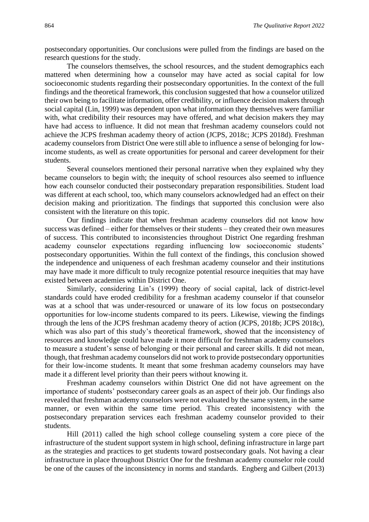postsecondary opportunities. Our conclusions were pulled from the findings are based on the research questions for the study.

The counselors themselves, the school resources, and the student demographics each mattered when determining how a counselor may have acted as social capital for low socioeconomic students regarding their postsecondary opportunities. In the context of the full findings and the theoretical framework, this conclusion suggested that how a counselor utilized their own being to facilitate information, offer credibility, or influence decision makers through social capital (Lin, 1999) was dependent upon what information they themselves were familiar with, what credibility their resources may have offered, and what decision makers they may have had access to influence. It did not mean that freshman academy counselors could not achieve the JCPS freshman academy theory of action (JCPS, 2018c; JCPS 2018d). Freshman academy counselors from District One were still able to influence a sense of belonging for lowincome students, as well as create opportunities for personal and career development for their students.

Several counselors mentioned their personal narrative when they explained why they became counselors to begin with; the inequity of school resources also seemed to influence how each counselor conducted their postsecondary preparation responsibilities. Student load was different at each school, too, which many counselors acknowledged had an effect on their decision making and prioritization. The findings that supported this conclusion were also consistent with the literature on this topic.

Our findings indicate that when freshman academy counselors did not know how success was defined – either for themselves or their students – they created their own measures of success. This contributed to inconsistencies throughout District One regarding freshman academy counselor expectations regarding influencing low socioeconomic students' postsecondary opportunities. Within the full context of the findings, this conclusion showed the independence and uniqueness of each freshman academy counselor and their institutions may have made it more difficult to truly recognize potential resource inequities that may have existed between academies within District One.

Similarly, considering Lin's (1999) theory of social capital, lack of district-level standards could have eroded credibility for a freshman academy counselor if that counselor was at a school that was under-resourced or unaware of its low focus on postsecondary opportunities for low-income students compared to its peers. Likewise, viewing the findings through the lens of the JCPS freshman academy theory of action (JCPS, 2018b; JCPS 2018c), which was also part of this study's theoretical framework, showed that the inconsistency of resources and knowledge could have made it more difficult for freshman academy counselors to measure a student's sense of belonging or their personal and career skills. It did not mean, though, that freshman academy counselors did not work to provide postsecondary opportunities for their low-income students. It meant that some freshman academy counselors may have made it a different level priority than their peers without knowing it.

Freshman academy counselors within District One did not have agreement on the importance of students' postsecondary career goals as an aspect of their job. Our findings also revealed that freshman academy counselors were not evaluated by the same system, in the same manner, or even within the same time period. This created inconsistency with the postsecondary preparation services each freshman academy counselor provided to their students.

Hill (2011) called the high school college counseling system a core piece of the infrastructure of the student support system in high school, defining infrastructure in large part as the strategies and practices to get students toward postsecondary goals. Not having a clear infrastructure in place throughout District One for the freshman academy counselor role could be one of the causes of the inconsistency in norms and standards. Engberg and Gilbert (2013)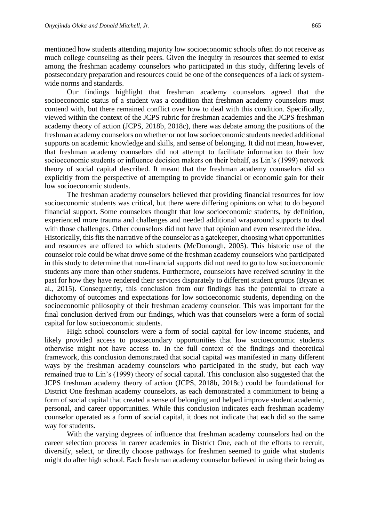mentioned how students attending majority low socioeconomic schools often do not receive as much college counseling as their peers. Given the inequity in resources that seemed to exist among the freshman academy counselors who participated in this study, differing levels of postsecondary preparation and resources could be one of the consequences of a lack of systemwide norms and standards.

Our findings highlight that freshman academy counselors agreed that the socioeconomic status of a student was a condition that freshman academy counselors must contend with, but there remained conflict over how to deal with this condition. Specifically, viewed within the context of the JCPS rubric for freshman academies and the JCPS freshman academy theory of action (JCPS, 2018b, 2018c), there was debate among the positions of the freshman academy counselors on whether or not low socioeconomic students needed additional supports on academic knowledge and skills, and sense of belonging. It did not mean, however, that freshman academy counselors did not attempt to facilitate information to their low socioeconomic students or influence decision makers on their behalf, as Lin's (1999) network theory of social capital described. It meant that the freshman academy counselors did so explicitly from the perspective of attempting to provide financial or economic gain for their low socioeconomic students.

The freshman academy counselors believed that providing financial resources for low socioeconomic students was critical, but there were differing opinions on what to do beyond financial support. Some counselors thought that low socioeconomic students, by definition, experienced more trauma and challenges and needed additional wraparound supports to deal with those challenges. Other counselors did not have that opinion and even resented the idea. Historically, this fits the narrative of the counselor as a gatekeeper, choosing what opportunities and resources are offered to which students (McDonough, 2005). This historic use of the counselor role could be what drove some of the freshman academy counselors who participated in this study to determine that non-financial supports did not need to go to low socioeconomic students any more than other students. Furthermore, counselors have received scrutiny in the past for how they have rendered their services disparately to different student groups (Bryan et al., 2015). Consequently, this conclusion from our findings has the potential to create a dichotomy of outcomes and expectations for low socioeconomic students, depending on the socioeconomic philosophy of their freshman academy counselor. This was important for the final conclusion derived from our findings, which was that counselors were a form of social capital for low socioeconomic students.

High school counselors were a form of social capital for low-income students, and likely provided access to postsecondary opportunities that low socioeconomic students otherwise might not have access to. In the full context of the findings and theoretical framework, this conclusion demonstrated that social capital was manifested in many different ways by the freshman academy counselors who participated in the study, but each way remained true to Lin's (1999) theory of social capital. This conclusion also suggested that the JCPS freshman academy theory of action (JCPS, 2018b, 2018c) could be foundational for District One freshman academy counselors, as each demonstrated a commitment to being a form of social capital that created a sense of belonging and helped improve student academic, personal, and career opportunities. While this conclusion indicates each freshman academy counselor operated as a form of social capital, it does not indicate that each did so the same way for students.

With the varying degrees of influence that freshman academy counselors had on the career selection process in career academies in District One, each of the efforts to recruit, diversify, select, or directly choose pathways for freshmen seemed to guide what students might do after high school. Each freshman academy counselor believed in using their being as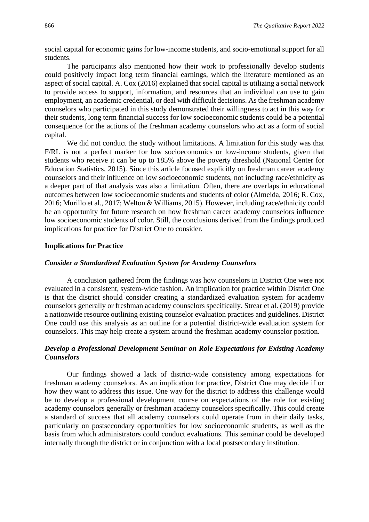social capital for economic gains for low-income students, and socio-emotional support for all students.

The participants also mentioned how their work to professionally develop students could positively impact long term financial earnings, which the literature mentioned as an aspect of social capital. A. Cox (2016) explained that social capital is utilizing a social network to provide access to support, information, and resources that an individual can use to gain employment, an academic credential, or deal with difficult decisions. As the freshman academy counselors who participated in this study demonstrated their willingness to act in this way for their students, long term financial success for low socioeconomic students could be a potential consequence for the actions of the freshman academy counselors who act as a form of social capital.

We did not conduct the study without limitations. A limitation for this study was that F/RL is not a perfect marker for low socioeconomics or low-income students, given that students who receive it can be up to 185% above the poverty threshold (National Center for Education Statistics, 2015). Since this article focused explicitly on freshman career academy counselors and their influence on low socioeconomic students, not including race/ethnicity as a deeper part of that analysis was also a limitation. Often, there are overlaps in educational outcomes between low socioeconomic students and students of color (Almeida, 2016; R. Cox, 2016; Murillo et al., 2017; Welton & Williams, 2015). However, including race/ethnicity could be an opportunity for future research on how freshman career academy counselors influence low socioeconomic students of color. Still, the conclusions derived from the findings produced implications for practice for District One to consider.

#### **Implications for Practice**

#### *Consider a Standardized Evaluation System for Academy Counselors*

A conclusion gathered from the findings was how counselors in District One were not evaluated in a consistent, system-wide fashion. An implication for practice within District One is that the district should consider creating a standardized evaluation system for academy counselors generally or freshman academy counselors specifically. Strear et al. (2019) provide a nationwide resource outlining existing counselor evaluation practices and guidelines. District One could use this analysis as an outline for a potential district-wide evaluation system for counselors. This may help create a system around the freshman academy counselor position.

### *Develop a Professional Development Seminar on Role Expectations for Existing Academy Counselors*

Our findings showed a lack of district-wide consistency among expectations for freshman academy counselors. As an implication for practice, District One may decide if or how they want to address this issue. One way for the district to address this challenge would be to develop a professional development course on expectations of the role for existing academy counselors generally or freshman academy counselors specifically. This could create a standard of success that all academy counselors could operate from in their daily tasks, particularly on postsecondary opportunities for low socioeconomic students, as well as the basis from which administrators could conduct evaluations. This seminar could be developed internally through the district or in conjunction with a local postsecondary institution.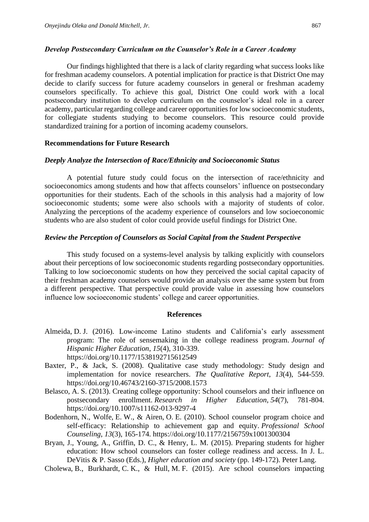#### *Develop Postsecondary Curriculum on the Counselor's Role in a Career Academy*

Our findings highlighted that there is a lack of clarity regarding what success looks like for freshman academy counselors. A potential implication for practice is that District One may decide to clarify success for future academy counselors in general or freshman academy counselors specifically. To achieve this goal, District One could work with a local postsecondary institution to develop curriculum on the counselor's ideal role in a career academy, particular regarding college and career opportunities for low socioeconomic students, for collegiate students studying to become counselors. This resource could provide standardized training for a portion of incoming academy counselors.

#### **Recommendations for Future Research**

#### *Deeply Analyze the Intersection of Race/Ethnicity and Socioeconomic Status*

A potential future study could focus on the intersection of race/ethnicity and socioeconomics among students and how that affects counselors' influence on postsecondary opportunities for their students. Each of the schools in this analysis had a majority of low socioeconomic students; some were also schools with a majority of students of color. Analyzing the perceptions of the academy experience of counselors and low socioeconomic students who are also student of color could provide useful findings for District One.

#### *Review the Perception of Counselors as Social Capital from the Student Perspective*

This study focused on a systems-level analysis by talking explicitly with counselors about their perceptions of low socioeconomic students regarding postsecondary opportunities. Talking to low socioeconomic students on how they perceived the social capital capacity of their freshman academy counselors would provide an analysis over the same system but from a different perspective. That perspective could provide value in assessing how counselors influence low socioeconomic students' college and career opportunities.

#### **References**

- Almeida, D. J. (2016). Low-income Latino students and California's early assessment program: The role of sensemaking in the college readiness program. *Journal of Hispanic Higher Education*, *15*(4), 310-339. https://doi.org/10.1177/1538192715612549
- Baxter, P., & Jack, S. (2008). Qualitative case study methodology: Study design and implementation for novice researchers. *The Qualitative Report*, *13*(4), 544-559. https://doi.org/10.46743/2160-3715/2008.1573
- Belasco, A. S. (2013). Creating college opportunity: School counselors and their influence on postsecondary enrollment. *Research in Higher Education*, *54*(7), 781-804. https://doi.org/10.1007/s11162-013-9297-4
- Bodenhorn, N., Wolfe, E. W., & Airen, O. E. (2010). School counselor program choice and self-efficacy: Relationship to achievement gap and equity. *Professional School Counseling*, *13*(3), 165-174. https://doi.org/10.1177/2156759x1001300304
- Bryan, J., Young, A., Griffin, D. C., & Henry, L. M. (2015). Preparing students for higher education: How school counselors can foster college readiness and access. In J. L. DeVitis & P. Sasso (Eds.), *Higher education and society* (pp. 149-172). Peter Lang.
- Cholewa, B., Burkhardt, C. K., & Hull, M. F. (2015). Are school counselors impacting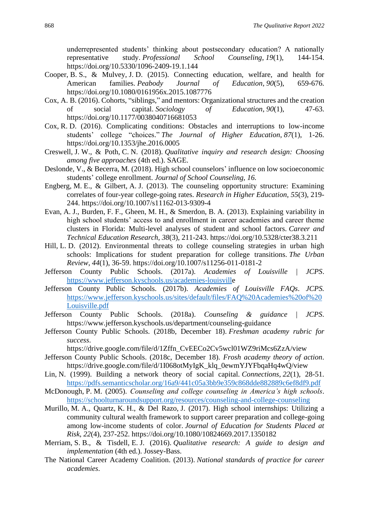underrepresented students' thinking about postsecondary education? A nationally representative study. *Professional School Counseling*, *19*(1), 144-154. https://doi.org/10.5330/1096-2409-19.1.144

- Cooper, B. S., & Mulvey, J. D. (2015). Connecting education, welfare, and health for American families. *Peabody Journal of Education*, *90*(5), 659-676. https://doi.org/10.1080/0161956x.2015.1087776
- Cox, A. B. (2016). Cohorts, "siblings," and mentors: Organizational structures and the creation of social capital. *Sociology of Education*, *90*(1), 47-63. https://doi.org/10.1177/0038040716681053
- Cox, R. D. (2016). Complicating conditions: Obstacles and interruptions to low-income students' college "choices." *The Journal of Higher Education*, *87*(1), 1-26. https://doi.org/10.1353/jhe.2016.0005
- Creswell, J. W., & Poth, C. N. (2018). *Qualitative inquiry and research design: Choosing among five approaches* (4th ed.). SAGE.
- Deslonde, V., & Becerra, M. (2018). High school counselors' influence on low socioeconomic students' college enrollment. *Journal of School Counseling, 16.*
- Engberg, M. E., & Gilbert, A. J. (2013). The counseling opportunity structure: Examining correlates of four-year college-going rates. *Research in Higher Education*, *55*(3), 219- 244. https://doi.org/10.1007/s11162-013-9309-4
- Evan, A. J., Burden, F. F., Gheen, M. H., & Smerdon, B. A. (2013). Explaining variability in high school students' access to and enrollment in career academies and career theme clusters in Florida: Multi-level analyses of student and school factors. *Career and Technical Education Research*, *38*(3), 211-243. https://doi.org/10.5328/cter38.3.211
- Hill, L. D. (2012). Environmental threats to college counseling strategies in urban high schools: Implications for student preparation for college transitions. *The Urban Review*, *44*(1), 36-59. https://doi.org/10.1007/s11256-011-0181-2
- Jefferson County Public Schools. (2017a). *Academies of Louisville | JCPS*[.](https://www.jefferson.kyschools.us/academies-louisvill) [https://www.jefferson.kyschools.us/academies-louisville](https://www.jefferson.kyschools.us/academies-louisvill)
- Jefferson County Public Schools. (2017b). *Academies of Louisville FAQs*. *JCPS.*  [https://www.jefferson.kyschools.us/sites/default/files/FAQ%20Academies%20of%20](https://www.jefferson.kyschools.us/sites/default/files/FAQ%20Academies%20of%20Louisville.pdf) [Louisville.pdf](https://www.jefferson.kyschools.us/sites/default/files/FAQ%20Academies%20of%20Louisville.pdf)
- Jefferson County Public Schools. (2018a). *Counseling & guidance | JCPS*. https://www.jefferson.kyschools.us/department/counseling-guidance
- Jefferson County Public Schools. (2018b, December 18). *Freshman academy rubric for success*.

https://drive.google.com/file/d/1Zffn\_CvEECo2Cv5wcl01WZ9riMcs6ZzA/view

- Jefferson County Public Schools. (2018c, December 18). *Frosh academy theory of action*. https://drive.google.com/file/d/1I068otMyIgK\_klq\_0ewmYJYFbqaHq4wQ/view
- Lin, N. (1999). Building a network theory of social capital. *Connections*, *22*(1), 28-51. <https://pdfs.semanticscholar.org/16a9/441c05a3bb9e359c868dde882889c6ef8df9.pdf>
- McDonough, P. M. (2005). *Counseling and college counseling in America's high schools*. <https://schoolturnaroundsupport.org/resources/counseling-and-college-counseling>
- Murillo, M. A., Quartz, K. H., & Del Razo, J. (2017). High school internships: Utilizing a community cultural wealth framework to support career preparation and college-going among low-income students of color. *Journal of Education for Students Placed at Risk*, *22*(4), 237-252. https://doi.org/10.1080/10824669.2017.1350182
- Merriam, S. B., & Tisdell, E. J. (2016). *Qualitative research: A guide to design and implementation* (4th ed.). Jossey-Bass.
- The National Career Academy Coalition. (2013). *National standards of practice for career academies*.